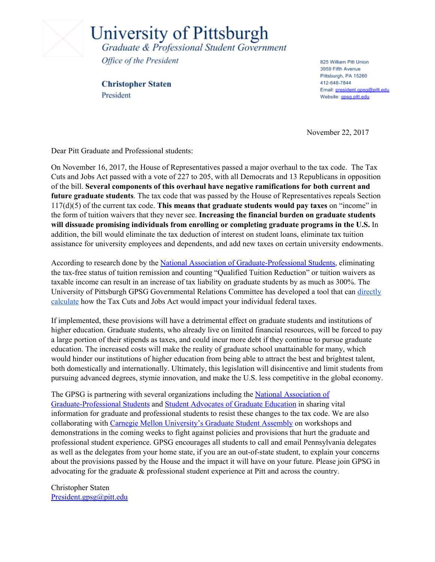

University of Pittsburgh Graduate & Professional Student Government

Office of the President

**Christopher Staten** President

825 William Pitt Union 3959 Fifth Avenue Pittsburgh, PA 15260 412-648-7844 Email: president.gpsg@pitt.edu Website: gpsg.pitt.edu

November 22, 2017

Dear Pitt Graduate and Professional students:

On November 16, 2017, the House of Representatives passed a major overhaul to the tax code. The Tax Cuts and Jobs Act passed with a vote of 227 to 205, with all Democrats and 13 Republicans in opposition of the bill. **Several components of this overhaul have negative ramifications for both current and future graduate students**. The tax code that was passed by the House of Representatives repeals Section 117(d)(5) of the current tax code. **This means that graduate students would pay taxes** on "income" in the form of tuition waivers that they never see. **Increasing the financial burden on graduate students will dissuade promising individuals from enrolling or completing graduate programs in the U.S.** In addition, the bill would eliminate the tax deduction of interest on student loans, eliminate tax tuition assistance for university employees and dependents, and add new taxes on certain university endowments.

According to research done by the National Association of [Graduate-Professional](http://nagps.org/) Students, eliminating the tax-free status of tuition remission and counting "Qualified Tuition Reduction" or tuition waivers as taxable income can result in an increase of tax liability on graduate students by as much as 300%. The University of Pittsburgh GPSG Governmental Relations Committee has developed a tool that can [directly](http://cht77.com/tax/) [calculate](http://cht77.com/tax/) how the Tax Cuts and Jobs Act would impact your individual federal taxes.

If implemented, these provisions will have a detrimental effect on graduate students and institutions of higher education. Graduate students, who already live on limited financial resources, will be forced to pay a large portion of their stipends as taxes, and could incur more debt if they continue to pursue graduate education. The increased costs will make the reality of graduate school unattainable for many, which would hinder our institutions of higher education from being able to attract the best and brightest talent, both domestically and internationally. Ultimately, this legislation will disincentive and limit students from pursuing advanced degrees, stymie innovation, and make the U.S. less competitive in the global economy.

The GPSG is partnering with several organizations including the National [Association](http://nagps.org/) of [Graduate-Professional](http://nagps.org/) Students and Student [Advocates](http://www.sagecoalition.net/) of Graduate Education in sharing vital information for graduate and professional students to resist these changes to the tax code. We are also collaborating with Carnegie Mellon [University's](https://www.cmu.edu/stugov/gsa/) Graduate Student Assembly on workshops and demonstrations in the coming weeks to fight against policies and provisions that hurt the graduate and professional student experience. GPSG encourages all students to call and email Pennsylvania delegates as well as the delegates from your home state, if you are an out-of-state student, to explain your concerns about the provisions passed by the House and the impact it will have on your future. Please join GPSG in advocating for the graduate & professional student experience at Pitt and across the country.

Christopher Staten [President.gpsg@pitt.edu](mailto:President.gpsg@pitt.edu)